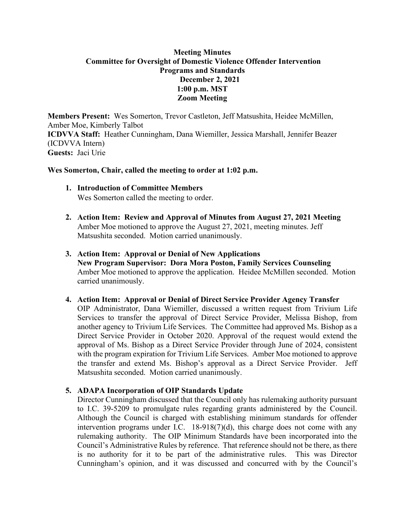## **Meeting Minutes Committee for Oversight of Domestic Violence Offender Intervention Programs and Standards December 2, 2021 1:00 p.m. MST Zoom Meeting**

**Members Present:** Wes Somerton, Trevor Castleton, Jeff Matsushita, Heidee McMillen, Amber Moe, Kimberly Talbot **ICDVVA Staff:** Heather Cunningham, Dana Wiemiller, Jessica Marshall, Jennifer Beazer (ICDVVA Intern) **Guests:** Jaci Urie

### **Wes Somerton, Chair, called the meeting to order at 1:02 p.m.**

- **1. Introduction of Committee Members** Wes Somerton called the meeting to order.
- **2. Action Item: Review and Approval of Minutes from August 27, 2021 Meeting**  Amber Moe motioned to approve the August 27, 2021, meeting minutes. Jeff Matsushita seconded. Motion carried unanimously.
- **3. Action Item: Approval or Denial of New Applications New Program Supervisor: Dora Mora Poston, Family Services Counseling**  Amber Moe motioned to approve the application. Heidee McMillen seconded. Motion carried unanimously.
- **4. Action Item: Approval or Denial of Direct Service Provider Agency Transfer** OIP Administrator, Dana Wiemiller, discussed a written request from Trivium Life Services to transfer the approval of Direct Service Provider, Melissa Bishop, from another agency to Trivium Life Services. The Committee had approved Ms. Bishop as a Direct Service Provider in October 2020. Approval of the request would extend the approval of Ms. Bishop as a Direct Service Provider through June of 2024, consistent with the program expiration for Trivium Life Services. Amber Moe motioned to approve the transfer and extend Ms. Bishop's approval as a Direct Service Provider. Jeff Matsushita seconded. Motion carried unanimously.

# **5. ADAPA Incorporation of OIP Standards Update**

Director Cunningham discussed that the Council only has rulemaking authority pursuant to I.C. 39-5209 to promulgate rules regarding grants administered by the Council. Although the Council is charged with establishing minimum standards for offender intervention programs under I.C. 18-918(7)(d), this charge does not come with any rulemaking authority. The OIP Minimum Standards have been incorporated into the Council's Administrative Rules by reference. That reference should not be there, as there is no authority for it to be part of the administrative rules. This was Director Cunningham's opinion, and it was discussed and concurred with by the Council's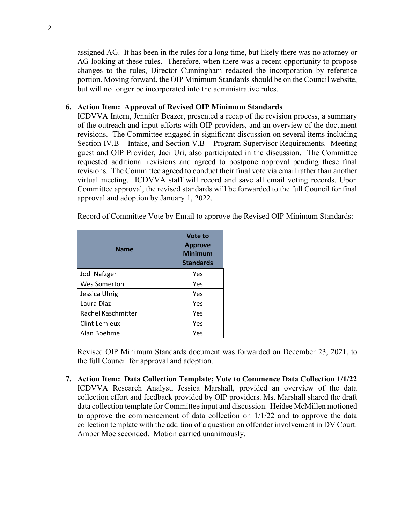assigned AG. It has been in the rules for a long time, but likely there was no attorney or AG looking at these rules. Therefore, when there was a recent opportunity to propose changes to the rules, Director Cunningham redacted the incorporation by reference portion. Moving forward, the OIP Minimum Standards should be on the Council website, but will no longer be incorporated into the administrative rules.

#### **6. Action Item: Approval of Revised OIP Minimum Standards**

ICDVVA Intern, Jennifer Beazer, presented a recap of the revision process, a summary of the outreach and input efforts with OIP providers, and an overview of the document revisions. The Committee engaged in significant discussion on several items including Section IV.B – Intake, and Section V.B – Program Supervisor Requirements. Meeting guest and OIP Provider, Jaci Uri, also participated in the discussion. The Committee requested additional revisions and agreed to postpone approval pending these final revisions. The Committee agreed to conduct their final vote via email rather than another virtual meeting. ICDVVA staff will record and save all email voting records. Upon Committee approval, the revised standards will be forwarded to the full Council for final approval and adoption by January 1, 2022.

Record of Committee Vote by Email to approve the Revised OIP Minimum Standards:

| <b>Name</b>          | <b>Vote to</b><br><b>Approve</b><br><b>Minimum</b><br><b>Standards</b> |
|----------------------|------------------------------------------------------------------------|
| Jodi Nafzger         | Yes                                                                    |
| Wes Somerton         | Yes                                                                    |
| Jessica Uhrig        | Yes                                                                    |
| Laura Diaz           | Yes                                                                    |
| Rachel Kaschmitter   | Yes                                                                    |
| <b>Clint Lemieux</b> | Yes                                                                    |
| Alan Boehme          | Yes                                                                    |

Revised OIP Minimum Standards document was forwarded on December 23, 2021, to the full Council for approval and adoption.

**7. Action Item: Data Collection Template; Vote to Commence Data Collection 1/1/22**  ICDVVA Research Analyst, Jessica Marshall, provided an overview of the data collection effort and feedback provided by OIP providers. Ms. Marshall shared the draft data collection template for Committee input and discussion. Heidee McMillen motioned to approve the commencement of data collection on 1/1/22 and to approve the data collection template with the addition of a question on offender involvement in DV Court. Amber Moe seconded. Motion carried unanimously.